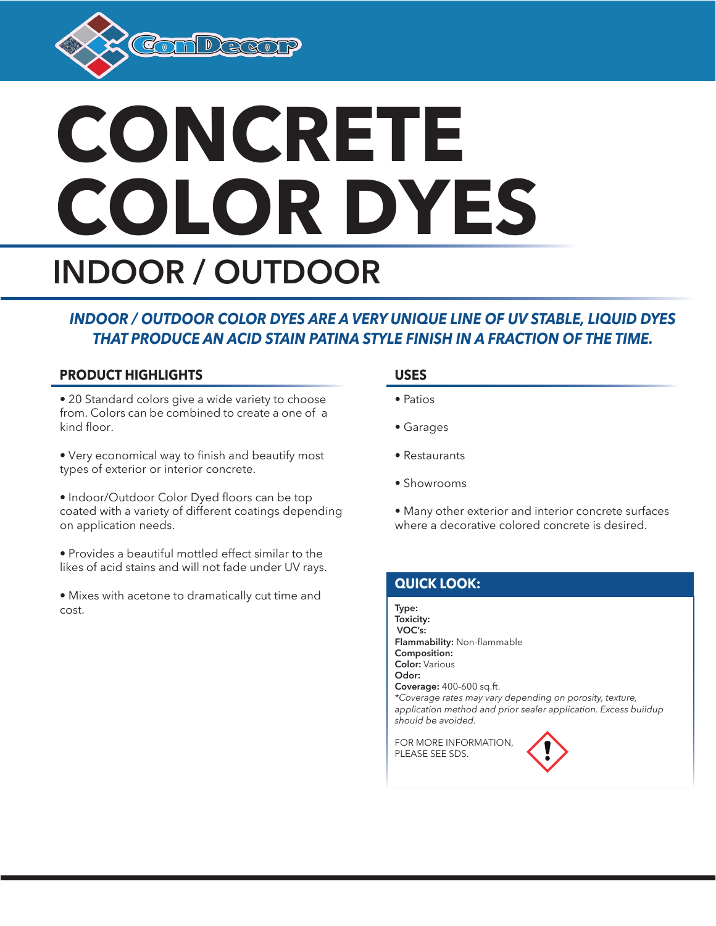

# **CONCRETE COLOR DYES INDOOR / OUTDOOR**

## *INDOOR / OUTDOOR COLOR DYES ARE A VERY UNIQUE LINE OF UV STABLE, LIQUID DYES THAT PRODUCE AN ACID STAIN PATINA STYLE FINISH IN A FRACTION OF THE TIME.*

## **PRODUCT HIGHLIGHTS**

- 20 Standard colors give a wide variety to choose from. Colors can be combined to create a one of a kind floor.
- Very economical way to finish and beautify most types of exterior or interior concrete.
- Indoor/Outdoor Color Dyed floors can be top coated with a variety of different coatings depending on application needs.
- Provides a beautiful mottled effect similar to the likes of acid stains and will not fade under UV rays.
- Mixes with acetone to dramatically cut time and cost

### **USES**

- Patios
- Garages
- Restaurants
- Showrooms
- Many other exterior and interior concrete surfaces where a decorative colored concrete is desired.

## **QUICK LOOK:**